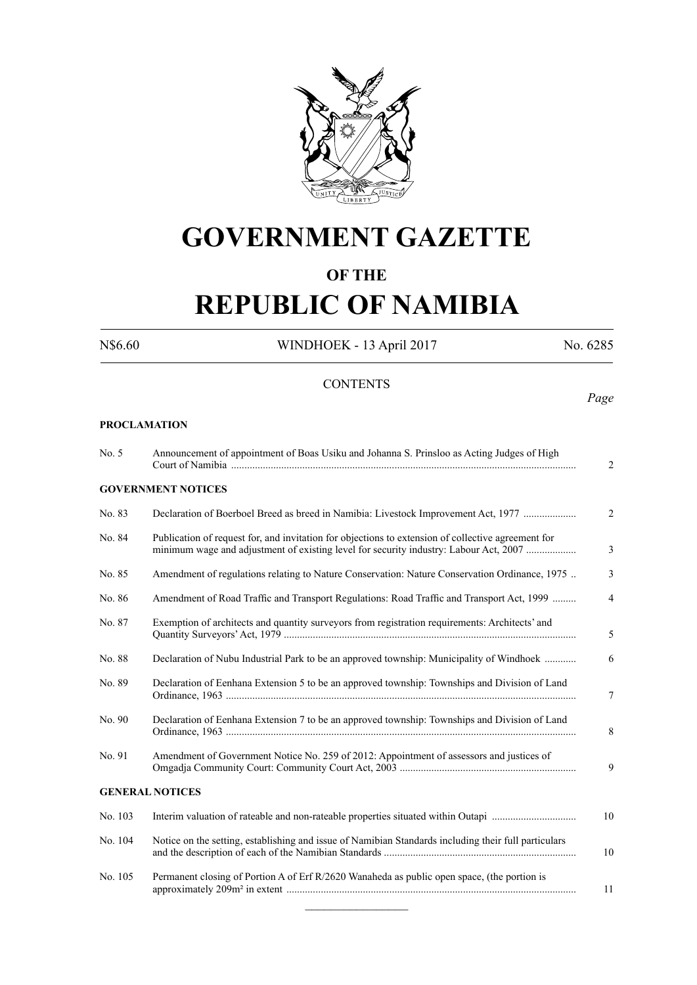

# **GOVERNMENT GAZETTE**

### **OF THE**

# **REPUBLIC OF NAMIBIA**

N\$6.60 WINDHOEK - 13 April 2017 No. 6285

#### **CONTENTS**

**PROCLAMATION**

### No. 5 Announcement of appointment of Boas Usiku and Johanna S. Prinsloo as Acting Judges of High Court of Namibia ................................................................................................................................... 2 **GOVERNMENT NOTICES** No. 83 Declaration of Boerboel Breed as breed in Namibia: Livestock Improvement Act, 1977 .................... 2 No. 84 Publication of request for, and invitation for objections to extension of collective agreement for minimum wage and adjustment of existing level for security industry: Labour Act, 2007 ................... 3 No. 85 Amendment of regulations relating to Nature Conservation: Nature Conservation Ordinance, 1975 .. 3 No. 86 Amendment of Road Traffic and Transport Regulations: Road Traffic and Transport Act, 1999 ......... 4 No. 87 Exemption of architects and quantity surveyors from registration requirements: Architects' and Quantity Surveyors' Act, 1979 ............................................................................................................... 5 No. 88 Declaration of Nubu Industrial Park to be an approved township: Municipality of Windhoek ............ 6 No. 89 Declaration of Eenhana Extension 5 to be an approved township: Townships and Division of Land Ordinance, 1963 ..................................................................................................................................... 7 No. 90 Declaration of Eenhana Extension 7 to be an approved township: Townships and Division of Land Ordinance, 1963 ..................................................................................................................................... 8 No. 91 Amendment of Government Notice No. 259 of 2012: Appointment of assessors and justices of Omgadja Community Court: Community Court Act, 2003 ................................................................... 9 **GENERAL NOTICES** No. 103 Interim valuation of rateable and non-rateable properties situated within Outapi ................................ 10 No. 104 Notice on the setting, establishing and issue of Namibian Standards including their full particulars and the description of each of the Namibian Standards ......................................................................... 10 No. 105 Permanent closing of Portion A of Erf R/2620 Wanaheda as public open space, (the portion is approximately 209m² in extent .............................................................................................................. 11  $\overline{\phantom{a}}$  , where  $\overline{\phantom{a}}$

*Page*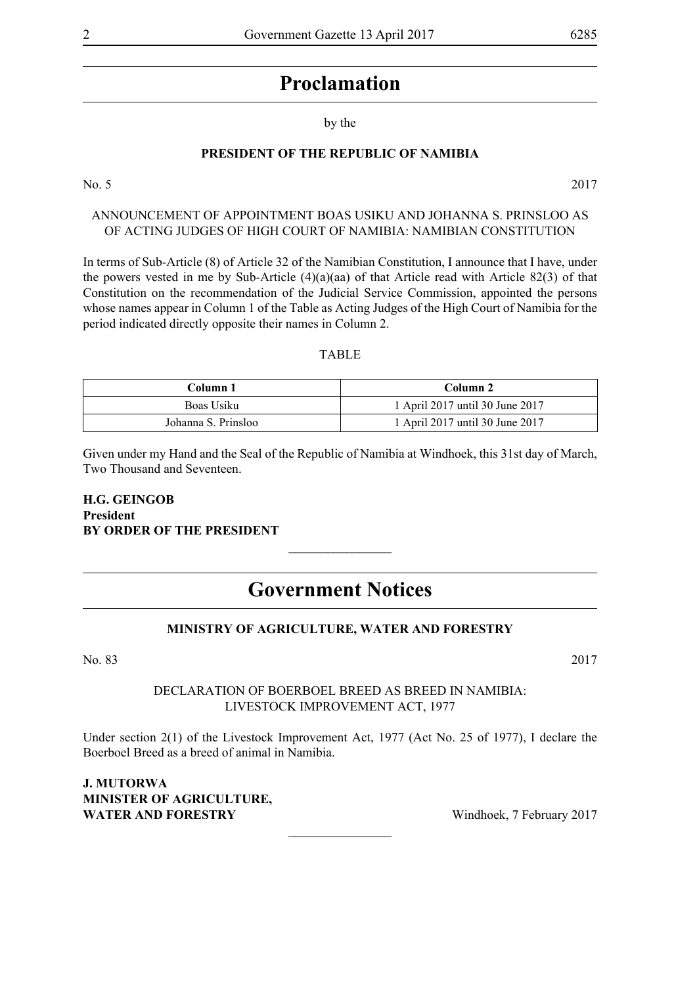### **Proclamation**

by the

#### **PRESIDENT OF THE REPUBLIC OF NAMIBIA**

No. 5 2017

ANNOUNCEMENT OF APPOINTMENT Boas Usiku and Johanna S. Prinsloo as OF ACTING JUDGES OF HIGH COURT OF NAMIBIA: NAMIBIAN CONSTITUTION

In terms of Sub-Article (8) of Article 32 of the Namibian Constitution, I announce that I have, under the powers vested in me by Sub-Article (4)(a)(aa) of that Article read with Article 82(3) of that Constitution on the recommendation of the Judicial Service Commission, appointed the persons whose names appear in Column 1 of the Table as Acting Judges of the High Court of Namibia for the period indicated directly opposite their names in Column 2.

#### TABLE

| Column 1            | Column 2                        |
|---------------------|---------------------------------|
| Boas Usiku          | 1 April 2017 until 30 June 2017 |
| Johanna S. Prinsloo | 1 April 2017 until 30 June 2017 |

Given under my Hand and the Seal of the Republic of Namibia at Windhoek, this 31st day of March, Two Thousand and Seventeen.

#### **H.G. GEINGOB President BY ORDER OF THE PRESIDENT**

### **Government Notices**

 $\overline{\phantom{a}}$  , where  $\overline{\phantom{a}}$ 

#### **MINISTRY OF AGRICULTURE, WATER AND FORESTRY**

No. 83 2017

#### DECLARATION OF BOERBOEL BREED AS BREED IN NAMIBIA: LIVESTOCK IMPROVEMENT ACT, 1977

Under section 2(1) of the Livestock Improvement Act, 1977 (Act No. 25 of 1977), I declare the Boerboel Breed as a breed of animal in Namibia.

 $\overline{\phantom{a}}$  , where  $\overline{\phantom{a}}$ 

#### **J. MUTORWA Minister of Agriculture, WATER AND FORESTRY** Windhoek, 7 February 2017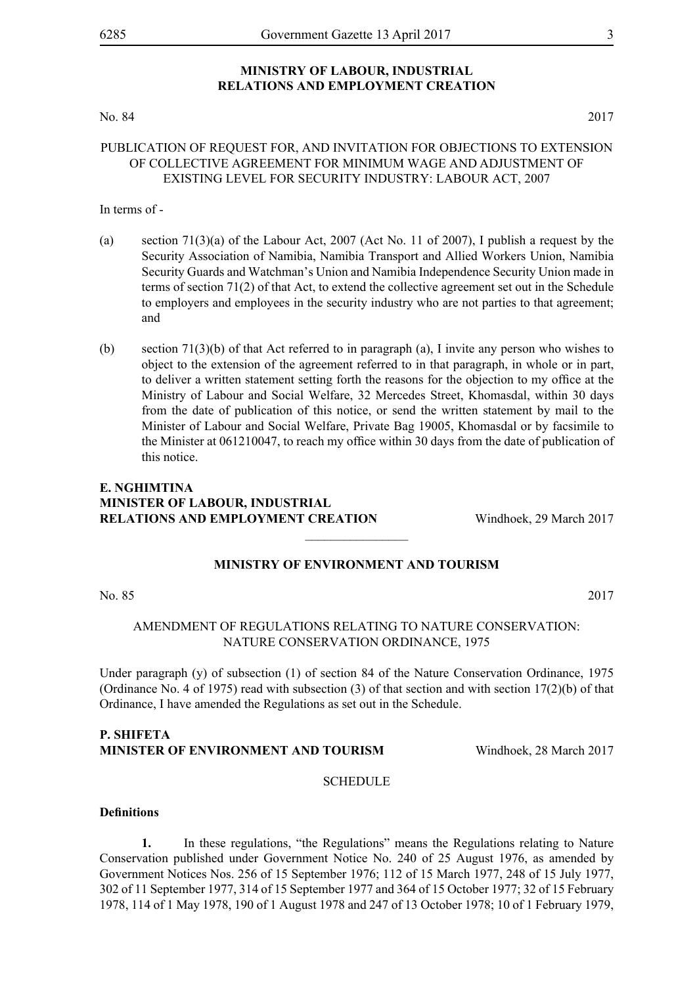#### **MINISTRY OF LABOUR, INDUSTRIAL RELATIONS AND EMPLOYMENT CREATION**

#### No. 84 2017

#### PUBLICATION OF REQUEST FOR, AND INVITATION FOR OBJECTIONS TO EXTENSION OF COLLECTIVE AGREEMENT FOR MINIMUM WAGE AND ADJUSTMENT OF EXISTING LEVEL FOR SECURITY INDUSTRY: LABOUR ACT, 2007

#### In terms of -

- (a) section  $71(3)(a)$  of the Labour Act, 2007 (Act No. 11 of 2007), I publish a request by the Security Association of Namibia, Namibia Transport and Allied Workers Union, Namibia Security Guards and Watchman's Union and Namibia Independence Security Union made in terms of section 71(2) of that Act, to extend the collective agreement set out in the Schedule to employers and employees in the security industry who are not parties to that agreement; and
- (b) section 71(3)(b) of that Act referred to in paragraph (a), I invite any person who wishes to object to the extension of the agreement referred to in that paragraph, in whole or in part, to deliver a written statement setting forth the reasons for the objection to my office at the Ministry of Labour and Social Welfare, 32 Mercedes Street, Khomasdal, within 30 days from the date of publication of this notice, or send the written statement by mail to the Minister of Labour and Social Welfare, Private Bag 19005, Khomasdal or by facsimile to the Minister at 061210047, to reach my office within 30 days from the date of publication of this notice.

#### **E. Nghimtina Minister of Labour, Industrial Relations and Employment Creation** Windhoek, 29 March 2017

#### **MINISTRY OF ENVIRONMENT AND TOURISM**

 $\frac{1}{2}$ 

No. 85 2017

#### AMENDMENT OF REGULATIONS RELATING TO NATURE CONSERVATION: NATURE CONSERVATION ORDINANCE, 1975

Under paragraph (y) of subsection (1) of section 84 of the Nature Conservation Ordinance, 1975 (Ordinance No. 4 of 1975) read with subsection  $(3)$  of that section and with section  $17(2)(b)$  of that Ordinance, I have amended the Regulations as set out in the Schedule.

#### **P. Shifeta Minister of Environment and Tourism** Windhoek, 28 March 2017

#### **SCHEDULE**

#### **Definitions**

**1.** In these regulations, "the Regulations" means the Regulations relating to Nature Conservation published under Government Notice No. 240 of 25 August 1976, as amended by Government Notices Nos. 256 of 15 September 1976; 112 of 15 March 1977, 248 of 15 July 1977, 302 of 11 September 1977, 314 of 15 September 1977 and 364 of 15 October 1977; 32 of 15 February 1978, 114 of 1 May 1978, 190 of 1 August 1978 and 247 of 13 October 1978; 10 of 1 February 1979,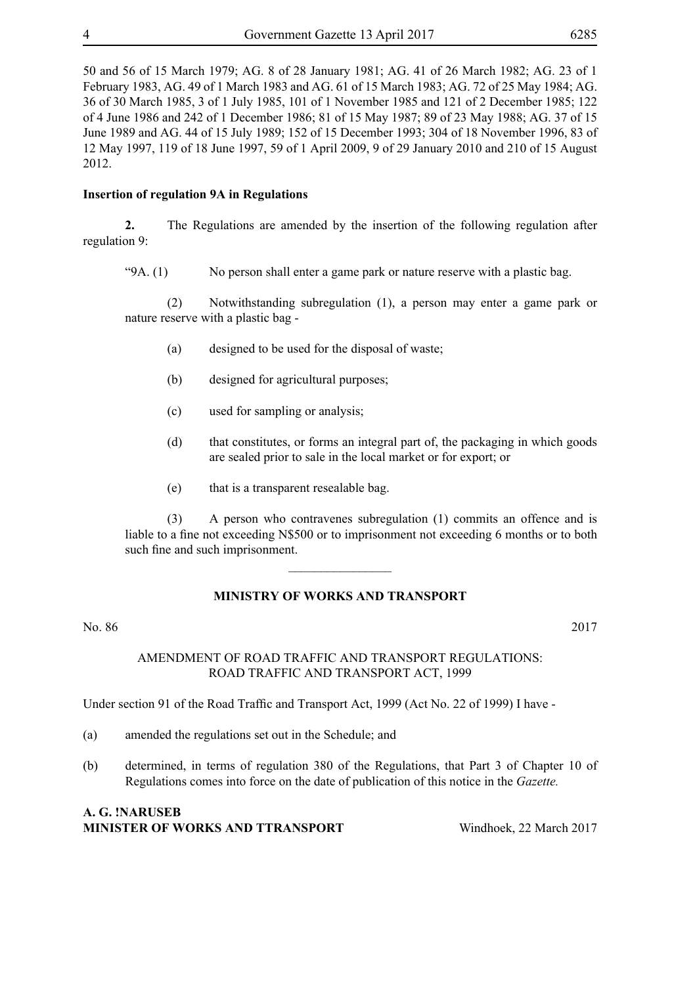50 and 56 of 15 March 1979; AG. 8 of 28 January 1981; AG. 41 of 26 March 1982; AG. 23 of 1 February 1983, AG. 49 of 1 March 1983 and AG. 61 of 15 March 1983; AG. 72 of 25 May 1984; AG. 36 of 30 March 1985, 3 of 1 July 1985, 101 of 1 November 1985 and 121 of 2 December 1985; 122 of 4 June 1986 and 242 of 1 December 1986; 81 of 15 May 1987; 89 of 23 May 1988; AG. 37 of 15 June 1989 and AG. 44 of 15 July 1989; 152 of 15 December 1993; 304 of 18 November 1996, 83 of 12 May 1997, 119 of 18 June 1997, 59 of 1 April 2009, 9 of 29 January 2010 and 210 of 15 August 2012.

#### **Insertion of regulation 9A in Regulations**

**2.** The Regulations are amended by the insertion of the following regulation after regulation 9:

"9A. (1) No person shall enter a game park or nature reserve with a plastic bag.

(2) Notwithstanding subregulation (1), a person may enter a game park or nature reserve with a plastic bag -

- (a) designed to be used for the disposal of waste;
- (b) designed for agricultural purposes;
- (c) used for sampling or analysis;
- (d) that constitutes, or forms an integral part of, the packaging in which goods are sealed prior to sale in the local market or for export; or
- (e) that is a transparent resealable bag.

(3) A person who contravenes subregulation (1) commits an offence and is liable to a fine not exceeding N\$500 or to imprisonment not exceeding 6 months or to both such fine and such imprisonment.

#### **MINISTRY OF WORKS AND TRANSPORT**

 $\overline{\phantom{a}}$  , where  $\overline{\phantom{a}}$ 

No. 86 2017

AMENDMENT OF ROAD TRAFFIC AND TRANSPORT REGULATIONS: ROAD TRAFFIC AND TRANSPORT ACT, 1999

Under section 91 of the Road Traffic and Transport Act, 1999 (Act No. 22 of 1999) I have -

- (a) amended the regulations set out in the Schedule; and
- (b) determined, in terms of regulation 380 of the Regulations, that Part 3 of Chapter 10 of Regulations comes into force on the date of publication of this notice in the *Gazette.*

#### **A. G. !NARUSEB Minister of Works and Ttransport** Windhoek, 22 March 2017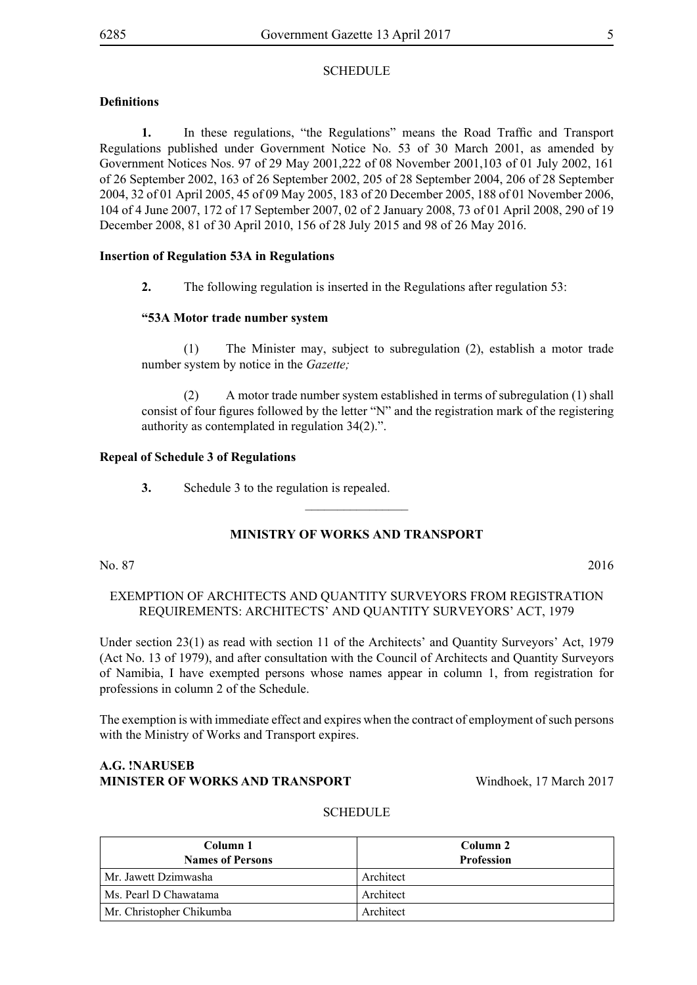#### **Definitions**

**1.** In these regulations, "the Regulations" means the Road Traffic and Transport Regulations published under Government Notice No. 53 of 30 March 2001, as amended by Government Notices Nos. 97 of 29 May 2001,222 of 08 November 2001,103 of 01 July 2002, 161 of 26 September 2002, 163 of 26 September 2002, 205 of 28 September 2004, 206 of 28 September 2004, 32 of 01 April 2005, 45 of 09 May 2005, 183 of 20 December 2005, 188 of 01 November 2006, 104 of 4 June 2007, 172 of 17 September 2007, 02 of 2 January 2008, 73 of 01 April 2008, 290 of 19 December 2008, 81 of 30 April 2010, 156 of 28 July 2015 and 98 of 26 May 2016.

#### **Insertion of Regulation 53A in Regulations**

**2.** The following regulation is inserted in the Regulations after regulation 53:

#### **"53A Motor trade number system**

(1) The Minister may, subject to subregulation (2), establish a motor trade number system by notice in the *Gazette;*

(2) A motor trade number system established in terms of subregulation (1) shall consist of four figures followed by the letter "N" and the registration mark of the registering authority as contemplated in regulation 34(2).".

#### **Repeal of Schedule 3 of Regulations**

**3.** Schedule 3 to the regulation is repealed.

#### **MINISTRY OF WORKS AND TRANSPORT**

 $\frac{1}{2}$ 

No. 87 2016

#### EXEMPTION OF ARCHITECTS AND QUANTITY SURVEYORS FROM REGISTRATION REQUIREMENTS: ARCHITECTS' AND QUANTITY SURVEYORS' ACT, 1979

Under section 23(1) as read with section 11 of the Architects' and Quantity Surveyors' Act, 1979 (Act No. 13 of 1979), and after consultation with the Council of Architects and Quantity Surveyors of Namibia, I have exempted persons whose names appear in column 1, from registration for professions in column 2 of the Schedule.

The exemption is with immediate effect and expires when the contract of employment of such persons with the Ministry of Works and Transport expires.

#### **A.G. !NARUSEB MINISTER OF WORKS AND TRANSPORT** Windhoek, 17 March 2017

#### **SCHEDULE**

| Column 1<br><b>Names of Persons</b> | Column 2<br><b>Profession</b> |
|-------------------------------------|-------------------------------|
| Mr. Jawett Dzimwasha                | Architect                     |
| Ms. Pearl D Chawatama               | Architect                     |
| Mr. Christopher Chikumba            | Architect                     |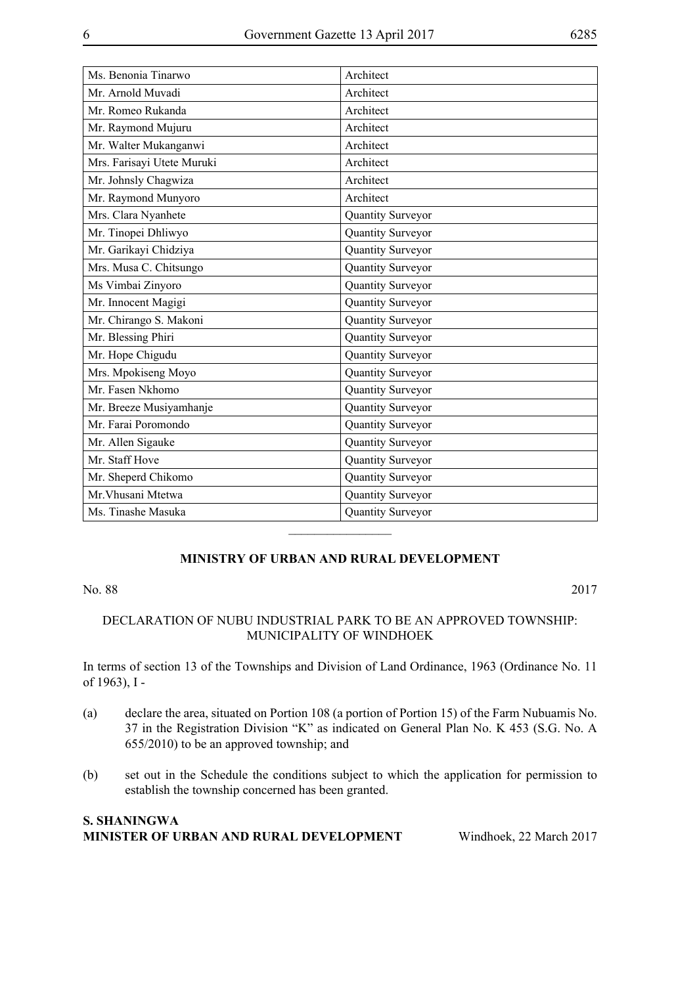| Ms. Benonia Tinarwo        | Architect         |
|----------------------------|-------------------|
| Mr. Arnold Muvadi          | Architect         |
| Mr. Romeo Rukanda          | Architect         |
| Mr. Raymond Mujuru         | Architect         |
| Mr. Walter Mukanganwi      | Architect         |
| Mrs. Farisayi Utete Muruki | Architect         |
| Mr. Johnsly Chagwiza       | Architect         |
| Mr. Raymond Munyoro        | Architect         |
| Mrs. Clara Nyanhete        | Quantity Surveyor |
| Mr. Tinopei Dhliwyo        | Quantity Surveyor |
| Mr. Garikayi Chidziya      | Quantity Surveyor |
| Mrs. Musa C. Chitsungo     | Quantity Surveyor |
| Ms Vimbai Zinyoro          | Quantity Surveyor |
| Mr. Innocent Magigi        | Quantity Surveyor |
| Mr. Chirango S. Makoni     | Quantity Surveyor |
| Mr. Blessing Phiri         | Quantity Surveyor |
| Mr. Hope Chigudu           | Quantity Surveyor |
| Mrs. Mpokiseng Moyo        | Quantity Surveyor |
| Mr. Fasen Nkhomo           | Quantity Surveyor |
| Mr. Breeze Musiyamhanje    | Quantity Surveyor |
| Mr. Farai Poromondo        | Quantity Surveyor |
| Mr. Allen Sigauke          | Quantity Surveyor |
| Mr. Staff Hove             | Quantity Surveyor |
| Mr. Sheperd Chikomo        | Quantity Surveyor |
| Mr. Vhusani Mtetwa         | Quantity Surveyor |
| Ms. Tinashe Masuka         | Quantity Surveyor |
|                            |                   |

#### **MINISTRY OF URBAN AND RURAL DEVELOPMENT**

#### No. 88 2017

#### DECLARATION OF NUBU INDUSTRIAL PARK TO BE AN APPROVED TOWNSHIP: MUNICIPALITY OF WINDHOEK

In terms of section 13 of the Townships and Division of Land Ordinance, 1963 (Ordinance No. 11 of 1963), I -

- (a) declare the area, situated on Portion 108 (a portion of Portion 15) of the Farm Nubuamis No. 37 in the Registration Division "K" as indicated on General Plan No. K 453 (S.G. No. A 655/2010) to be an approved township; and
- (b) set out in the Schedule the conditions subject to which the application for permission to establish the township concerned has been granted.

#### **S. Shaningwa Minister of Urban and Rural Development** Windhoek, 22 March 2017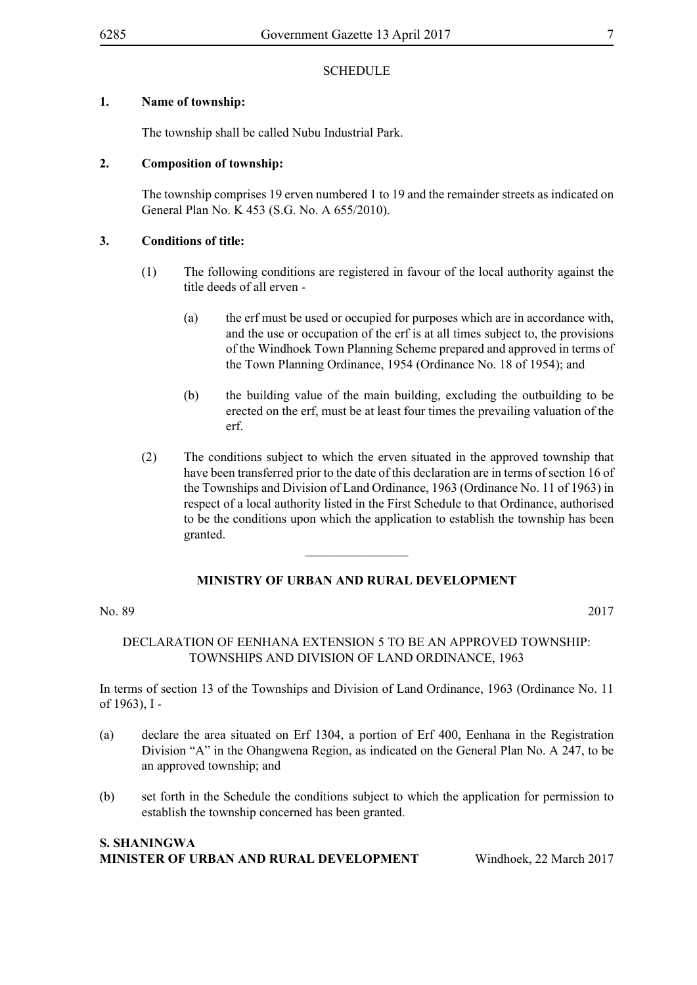#### **1. Name of township:**

The township shall be called Nubu Industrial Park.

#### **2. Composition of township:**

The township comprises 19 erven numbered 1 to 19 and the remainder streets as indicated on General Plan No. K 453 (S.G. No. A 655/2010).

#### **3. Conditions of title:**

- (1) The following conditions are registered in favour of the local authority against the title deeds of all erven -
	- (a) the erf must be used or occupied for purposes which are in accordance with, and the use or occupation of the erf is at all times subject to, the provisions of the Windhoek Town Planning Scheme prepared and approved in terms of the Town Planning Ordinance, 1954 (Ordinance No. 18 of 1954); and
	- (b) the building value of the main building, excluding the outbuilding to be erected on the erf, must be at least four times the prevailing valuation of the erf.
- (2) The conditions subject to which the erven situated in the approved township that have been transferred prior to the date of this declaration are in terms of section 16 of the Townships and Division of Land Ordinance, 1963 (Ordinance No. 11 of 1963) in respect of a local authority listed in the First Schedule to that Ordinance, authorised to be the conditions upon which the application to establish the township has been granted.

#### **MINISTRY OF URBAN AND RURAL DEVELOPMENT**

 $\overline{\phantom{a}}$  , where  $\overline{\phantom{a}}$ 

No. 89 2017

#### DECLARATION OF EENHANA EXTENSION 5 TO BE AN APPROVED TOWNSHIP: TOWNSHIPS AND DIVISION OF LAND ORDINANCE, 1963

In terms of section 13 of the Townships and Division of Land Ordinance, 1963 (Ordinance No. 11 of 1963), I -

- (a) declare the area situated on Erf 1304, a portion of Erf 400, Eenhana in the Registration Division "A" in the Ohangwena Region, as indicated on the General Plan No. A 247, to be an approved township; and
- (b) set forth in the Schedule the conditions subject to which the application for permission to establish the township concerned has been granted.

#### **S. Shaningwa Minister of Urban and Rural Development** Windhoek, 22 March 2017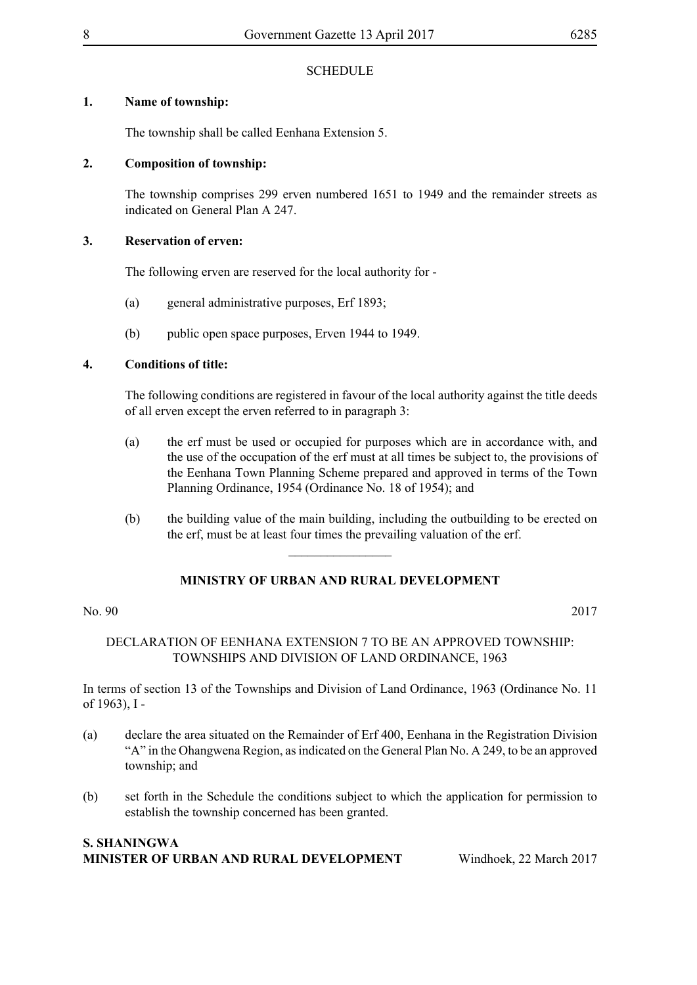#### **1. Name of township:**

The township shall be called Eenhana Extension 5.

#### **2. Composition of township:**

The township comprises 299 erven numbered 1651 to 1949 and the remainder streets as indicated on General Plan A 247.

#### **3. Reservation of erven:**

The following erven are reserved for the local authority for -

- (a) general administrative purposes, Erf 1893;
- (b) public open space purposes, Erven 1944 to 1949.

#### **4. Conditions of title:**

The following conditions are registered in favour of the local authority against the title deeds of all erven except the erven referred to in paragraph 3:

- (a) the erf must be used or occupied for purposes which are in accordance with, and the use of the occupation of the erf must at all times be subject to, the provisions of the Eenhana Town Planning Scheme prepared and approved in terms of the Town Planning Ordinance, 1954 (Ordinance No. 18 of 1954); and
- (b) the building value of the main building, including the outbuilding to be erected on the erf, must be at least four times the prevailing valuation of the erf.

### **MINISTRY OF URBAN AND RURAL DEVELOPMENT**

 $\overline{\phantom{a}}$  , where  $\overline{\phantom{a}}$ 

#### No. 90 2017

#### DECLARATION OF EENHANA EXTENSION 7 TO BE AN APPROVED TOWNSHIP: TOWNSHIPS AND DIVISION OF LAND ORDINANCE, 1963

In terms of section 13 of the Townships and Division of Land Ordinance, 1963 (Ordinance No. 11 of 1963), I -

- (a) declare the area situated on the Remainder of Erf 400, Eenhana in the Registration Division "A" in the Ohangwena Region, as indicated on the General Plan No. A 249, to be an approved township; and
- (b) set forth in the Schedule the conditions subject to which the application for permission to establish the township concerned has been granted.

#### **S. Shaningwa Minister of Urban and Rural Development** Windhoek, 22 March 2017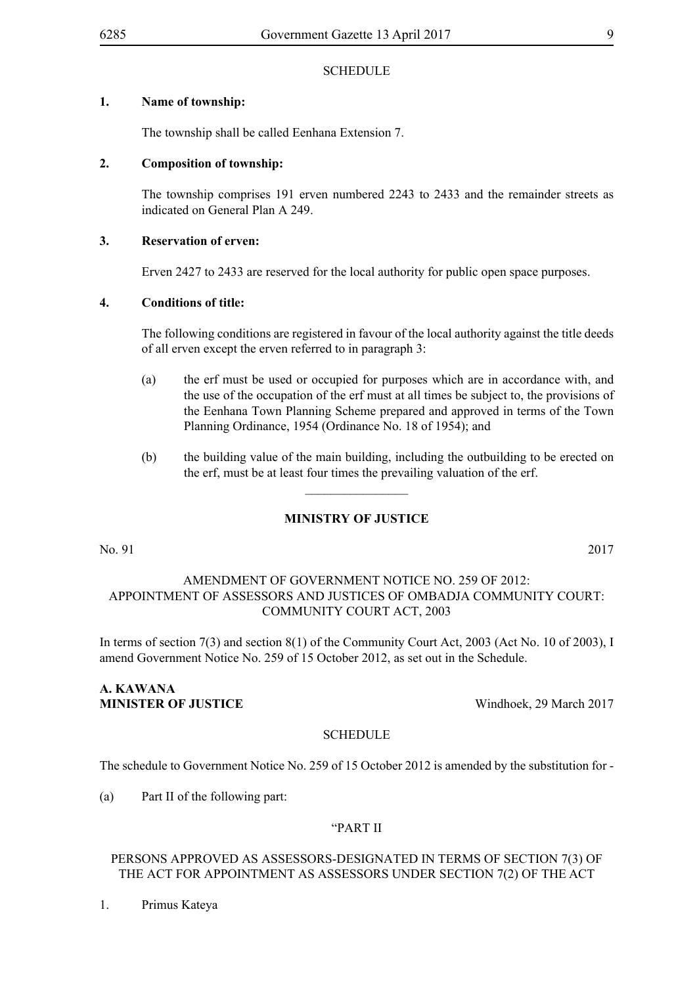#### **1. Name of township:**

The township shall be called Eenhana Extension 7.

#### **2. Composition of township:**

The township comprises 191 erven numbered 2243 to 2433 and the remainder streets as indicated on General Plan A 249.

#### **3. Reservation of erven:**

Erven 2427 to 2433 are reserved for the local authority for public open space purposes.

#### **4. Conditions of title:**

The following conditions are registered in favour of the local authority against the title deeds of all erven except the erven referred to in paragraph 3:

- (a) the erf must be used or occupied for purposes which are in accordance with, and the use of the occupation of the erf must at all times be subject to, the provisions of the Eenhana Town Planning Scheme prepared and approved in terms of the Town Planning Ordinance, 1954 (Ordinance No. 18 of 1954); and
- (b) the building value of the main building, including the outbuilding to be erected on the erf, must be at least four times the prevailing valuation of the erf.

#### **MINISTRY OF JUSTICE**

 $\overline{\phantom{a}}$  , where  $\overline{\phantom{a}}$ 

No. 91 2017

#### AMENDMENT OF GOVERNMENT NOTICE NO. 259 OF 2012: APPOINTMENT OF ASSESSORS AND JUSTICES OF OMBADJA COMMUNITY COURT: COMMUNITY COURT ACT, 2003

In terms of section 7(3) and section 8(1) of the Community Court Act, 2003 (Act No. 10 of 2003), I amend Government Notice No. 259 of 15 October 2012, as set out in the Schedule.

#### **A. Kawana MINISTER OF JUSTICE** Windhoek, 29 March 2017

#### **SCHEDULE**

The schedule to Government Notice No. 259 of 15 October 2012 is amended by the substitution for -

(a) Part II of the following part:

#### "PART II

#### PERSONS APPROVED AS ASSESSORS-DESIGNATED IN TERMS OF SECTION 7(3) OF THE ACT FOR APPOINTMENT AS ASSESSORS UNDER SECTION 7(2) OF THE ACT

1. Primus Kateya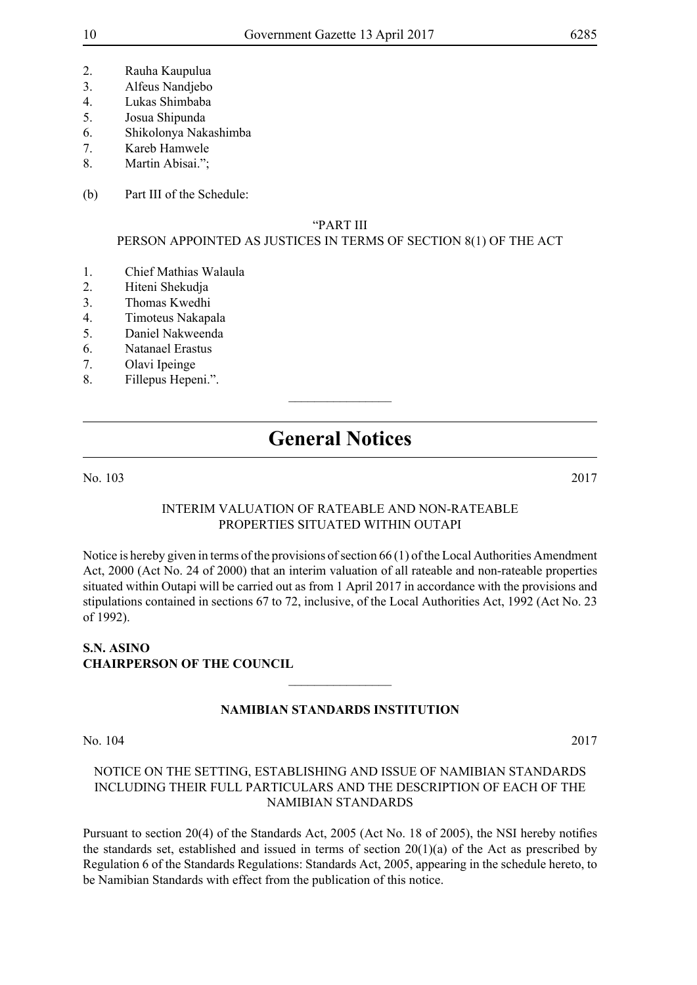- 2. Rauha Kaupulua
- 3. Alfeus Nandjebo
- 4. Lukas Shimbaba
- 5. Josua Shipunda
- 6. Shikolonya Nakashimba
- 7. Kareb Hamwele
- 8. Martin Abisai.";
- (b) Part III of the Schedule:

#### "PART III

#### PERSON APPOINTED AS JUSTICES IN TERMS OF SECTION 8(1) OF THE ACT

- 1. Chief Mathias Walaula
- 2. Hiteni Shekudja
- 3. Thomas Kwedhi
- 4. Timoteus Nakapala
- 5. Daniel Nakweenda
- 6. Natanael Erastus
- 7. Olavi Ipeinge
- 8. Fillepus Hepeni.".

## **General Notices**

 $\overline{\phantom{a}}$  , where  $\overline{\phantom{a}}$ 

#### No. 103 2017

#### INTERIM VALUATION OF RATEABLE AND NON-RATEABLE PROPERTIES SITUATED WITHIN OUTAPI

Notice is hereby given in terms of the provisions of section 66 (1) of the Local Authorities Amendment Act, 2000 (Act No. 24 of 2000) that an interim valuation of all rateable and non-rateable properties situated within Outapi will be carried out as from 1 April 2017 in accordance with the provisions and stipulations contained in sections 67 to 72, inclusive, of the Local Authorities Act, 1992 (Act No. 23 of 1992).

#### **S.N. Asino Chairperson of the Council**

#### **NAMIBIAN STANDARDS INSTITUTION**

 $\frac{1}{2}$ 

No. 104 2017

#### NOTICE ON THE SETTING, ESTABLISHING AND ISSUE OF NAMIBIAN STANDARDS INCLUDING THEIR FULL PARTICULARS AND THE DESCRIPTION OF EACH OF THE NAMIBIAN STANDARDS

Pursuant to section 20(4) of the Standards Act, 2005 (Act No. 18 of 2005), the NSI hereby notifies the standards set, established and issued in terms of section  $20(1)(a)$  of the Act as prescribed by Regulation 6 of the Standards Regulations: Standards Act, 2005, appearing in the schedule hereto, to be Namibian Standards with effect from the publication of this notice.